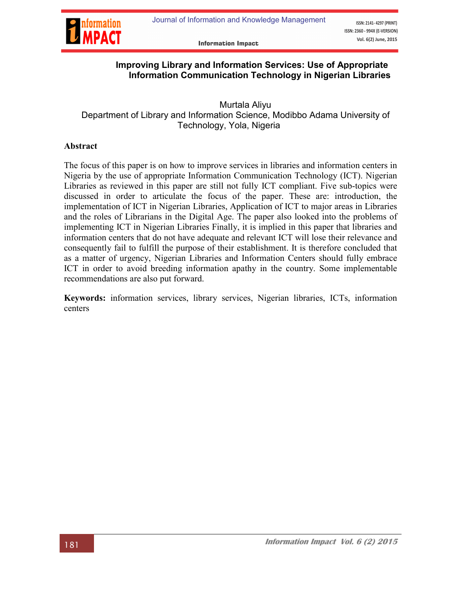

**Information Impact** 

## Improving Library and Information Services: Use of Appropriate Information Communication Technology in Nigerian Libraries

 Murtala Aliyu Department of Library and Information Science, Modibbo Adama University of Technology, Yola, Nigeria

#### Abstract

The focus of this paper is on how to improve services in libraries and information centers in Nigeria by the use of appropriate Information Communication Technology (ICT). Nigerian Libraries as reviewed in this paper are still not fully ICT compliant. Five sub-topics were discussed in order to articulate the focus of the paper. These are: introduction, the implementation of ICT in Nigerian Libraries, Application of ICT to major areas in Libraries and the roles of Librarians in the Digital Age. The paper also looked into the problems of implementing ICT in Nigerian Libraries Finally, it is implied in this paper that libraries and information centers that do not have adequate and relevant ICT will lose their relevance and consequently fail to fulfill the purpose of their establishment. It is therefore concluded that as a matter of urgency, Nigerian Libraries and Information Centers should fully embrace ICT in order to avoid breeding information apathy in the country. Some implementable recommendations are also put forward.

Keywords: information services, library services, Nigerian libraries, ICTs, information centers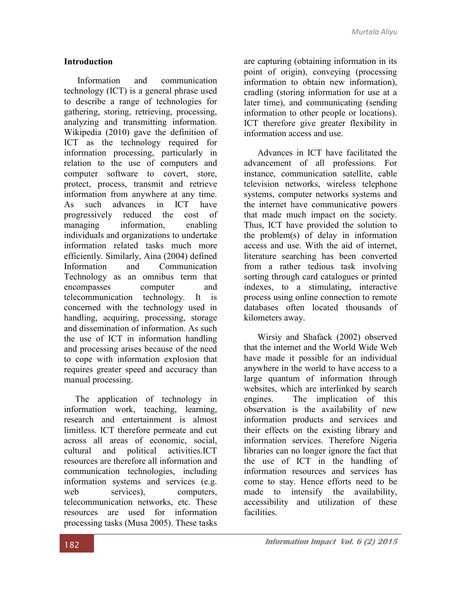#### **Introduction**

Information and communication technology (ICT) is a general phrase used to describe a range of technologies for gathering, storing, retrieving, processing, analyzing and transmitting information. Wikipedia (2010) gave the definition of ICT as the technology required for information processing, particularly in relation to the use of computers and computer software to covert, store, protect, process, transmit and retrieve information from anywhere at any time. As such advances in ICT have progressively reduced the cost of managing information, enabling individuals and organizations to undertake information related tasks much more efficiently. Similarly, Aina (2004) defined Information and Communication Technology as an omnibus term that encompasses computer and telecommunication technology. It is concerned with the technology used in handling, acquiring, processing, storage and dissemination of information. As such the use of ICT in information handling and processing arises because of the need to cope with information explosion that requires greater speed and accuracy than manual processing.

 The application of technology in information work, teaching, learning, research and entertainment is almost limitless. ICT therefore permeate and cut across all areas of economic, social, cultural and political activities.ICT resources are therefore all information and communication technologies, including information systems and services (e.g. web services), computers, telecommunication networks, etc. These resources are used for information processing tasks (Musa 2005). These tasks

are capturing (obtaining information in its point of origin), conveying (processing information to obtain new information), cradling (storing information for use at a later time), and communicating (sending information to other people or locations). ICT therefore give greater flexibility in information access and use.

 Advances in ICT have facilitated the advancement of all professions. For instance, communication satellite, cable television networks, wireless telephone systems, computer networks systems and the internet have communicative powers that made much impact on the society. Thus, ICT have provided the solution to the problem(s) of delay in information access and use. With the aid of internet, literature searching has been converted from a rather tedious task involving sorting through card catalogues or printed indexes, to a stimulating, interactive process using online connection to remote databases often located thousands of kilometers away.

Wirsiy and Shafack (2002) observed that the internet and the World Wide Web have made it possible for an individual anywhere in the world to have access to a large quantum of information through websites, which are interlinked by search engines. The implication of this observation is the availability of new information products and services and their effects on the existing library and information services. Therefore Nigeria libraries can no longer ignore the fact that the use of ICT in the handling of information resources and services has come to stay. Hence efforts need to be made to intensify the availability, accessibility and utilization of these facilities.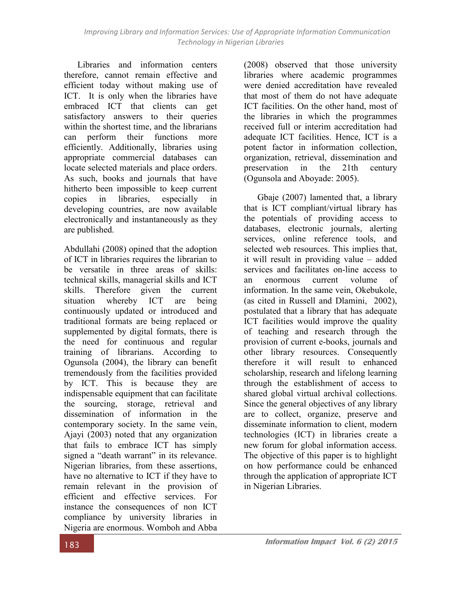Libraries and information centers therefore, cannot remain effective and efficient today without making use of ICT. It is only when the libraries have embraced ICT that clients can get satisfactory answers to their queries within the shortest time, and the librarians can perform their functions more efficiently. Additionally, libraries using appropriate commercial databases can locate selected materials and place orders. As such, books and journals that have hitherto been impossible to keep current copies in libraries, especially in developing countries, are now available electronically and instantaneously as they are published.

Abdullahi (2008) opined that the adoption of ICT in libraries requires the librarian to be versatile in three areas of skills: technical skills, managerial skills and ICT skills. Therefore given the current situation whereby ICT are being continuously updated or introduced and traditional formats are being replaced or supplemented by digital formats, there is the need for continuous and regular training of librarians. According to Ogunsola (2004), the library can benefit tremendously from the facilities provided by ICT. This is because they are indispensable equipment that can facilitate the sourcing, storage, retrieval and dissemination of information in the contemporary society. In the same vein, Ajayi (2003) noted that any organization that fails to embrace ICT has simply signed a "death warrant" in its relevance. Nigerian libraries, from these assertions, have no alternative to ICT if they have to remain relevant in the provision of efficient and effective services. For instance the consequences of non ICT compliance by university libraries in Nigeria are enormous. Womboh and Abba

(2008) observed that those university libraries where academic programmes were denied accreditation have revealed that most of them do not have adequate ICT facilities. On the other hand, most of the libraries in which the programmes received full or interim accreditation had adequate ICT facilities. Hence, ICT is a potent factor in information collection, organization, retrieval, dissemination and preservation in the 21th century (Ogunsola and Aboyade: 2005).

Gbaje (2007) lamented that, a library that is ICT compliant/virtual library has the potentials of providing access to databases, electronic journals, alerting services, online reference tools, and selected web resources. This implies that, it will result in providing value – added services and facilitates on-line access to an enormous current volume of information. In the same vein, Okebukole, (as cited in Russell and Dlamini, 2002), postulated that a library that has adequate ICT facilities would improve the quality of teaching and research through the provision of current e-books, journals and other library resources. Consequently therefore it will result to enhanced scholarship, research and lifelong learning through the establishment of access to shared global virtual archival collections. Since the general objectives of any library are to collect, organize, preserve and disseminate information to client, modern technologies (ICT) in libraries create a new forum for global information access. The objective of this paper is to highlight on how performance could be enhanced through the application of appropriate ICT in Nigerian Libraries.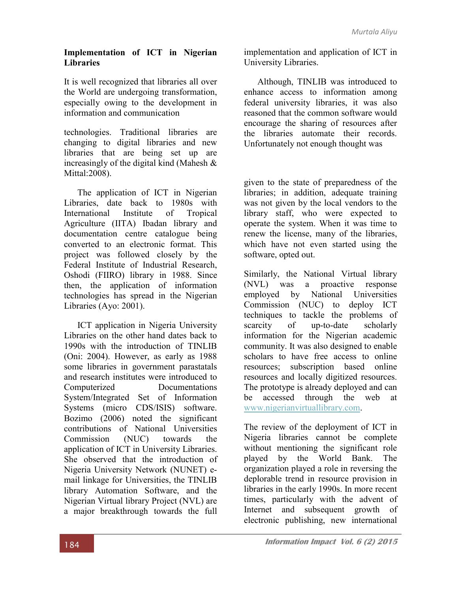#### Implementation of ICT in Nigerian Libraries

It is well recognized that libraries all over the World are undergoing transformation, especially owing to the development in information and communication

technologies. Traditional libraries are changing to digital libraries and new libraries that are being set up are increasingly of the digital kind (Mahesh & Mittal:2008).

The application of ICT in Nigerian Libraries, date back to 1980s with International Institute of Tropical Agriculture (IITA) Ibadan library and documentation centre catalogue being converted to an electronic format. This project was followed closely by the Federal Institute of Industrial Research, Oshodi (FIIRO) library in 1988. Since then, the application of information technologies has spread in the Nigerian Libraries (Ayo: 2001).

ICT application in Nigeria University Libraries on the other hand dates back to 1990s with the introduction of TINLIB (Oni: 2004). However, as early as 1988 some libraries in government parastatals and research institutes were introduced to Computerized Documentations System/Integrated Set of Information Systems (micro CDS/ISIS) software. Bozimo (2006) noted the significant contributions of National Universities Commission (NUC) towards the application of ICT in University Libraries. She observed that the introduction of Nigeria University Network (NUNET) email linkage for Universities, the TINLIB library Automation Software, and the Nigerian Virtual library Project (NVL) are a major breakthrough towards the full

implementation and application of ICT in University Libraries.

Although, TINLIB was introduced to enhance access to information among federal university libraries, it was also reasoned that the common software would encourage the sharing of resources after the libraries automate their records. Unfortunately not enough thought was

given to the state of preparedness of the libraries; in addition, adequate training was not given by the local vendors to the library staff, who were expected to operate the system. When it was time to renew the license, many of the libraries, which have not even started using the software, opted out.

Similarly, the National Virtual library (NVL) was a proactive response employed by National Universities Commission (NUC) to deploy ICT techniques to tackle the problems of scarcity of up-to-date scholarly information for the Nigerian academic community. It was also designed to enable scholars to have free access to online resources; subscription based online resources and locally digitized resources. The prototype is already deployed and can be accessed through the web at www.nigerianvirtuallibrary.com.

The review of the deployment of ICT in [Nigeria libraries cannot be complete](http://www.nigerianvirtuallibrary.com/) without mentioning the significant role played by the World Bank. The organization played a role in reversing the deplorable trend in resource provision in libraries in the early 1990s. In more recent times, particularly with the advent of Internet and subsequent growth of electronic publishing, new international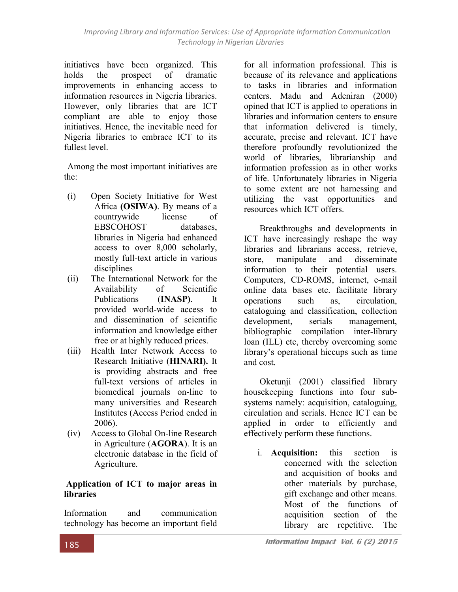initiatives have been organized. This holds the prospect of dramatic improvements in enhancing access to information resources in Nigeria libraries. However, only libraries that are ICT compliant are able to enjoy those initiatives. Hence, the inevitable need for Nigeria libraries to embrace ICT to its fullest level.

Among the most important initiatives are the:

- (i) Open Society Initiative for West Africa (OSIWA). By means of a countrywide license of EBSCOHOST databases, libraries in Nigeria had enhanced access to over 8,000 scholarly, mostly full-text article in various disciplines
- (ii) The International Network for the Availability of Scientific Publications (INASP). It provided world-wide access to and dissemination of scientific information and knowledge either free or at highly reduced prices.
- (iii) Health Inter Network Access to Research Initiative (HINARI). It is providing abstracts and free full-text versions of articles in biomedical journals on-line to many universities and Research Institutes (Access Period ended in 2006).
- (iv) Access to Global On-line Research in Agriculture (AGORA). It is an electronic database in the field of Agriculture.

## Application of ICT to major areas in libraries

Information and communication technology has become an important field for all information professional. This is because of its relevance and applications to tasks in libraries and information centers. Madu and Adeniran (2000) opined that ICT is applied to operations in libraries and information centers to ensure that information delivered is timely, accurate, precise and relevant. ICT have therefore profoundly revolutionized the world of libraries, librarianship and information profession as in other works of life. Unfortunately libraries in Nigeria to some extent are not harnessing and utilizing the vast opportunities and resources which ICT offers.

Breakthroughs and developments in ICT have increasingly reshape the way libraries and librarians access, retrieve, store, manipulate and disseminate information to their potential users. Computers, CD-ROMS, internet, e-mail online data bases etc. facilitate library operations such as, circulation, cataloguing and classification, collection development, serials management, bibliographic compilation inter-library loan (ILL) etc, thereby overcoming some library's operational hiccups such as time and cost.

Oketunji (2001) classified library housekeeping functions into four subsystems namely: acquisition, cataloguing, circulation and serials. Hence ICT can be applied in order to efficiently and effectively perform these functions.

i. Acquisition: this section is concerned with the selection and acquisition of books and other materials by purchase, gift exchange and other means. Most of the functions of acquisition section of the library are repetitive. The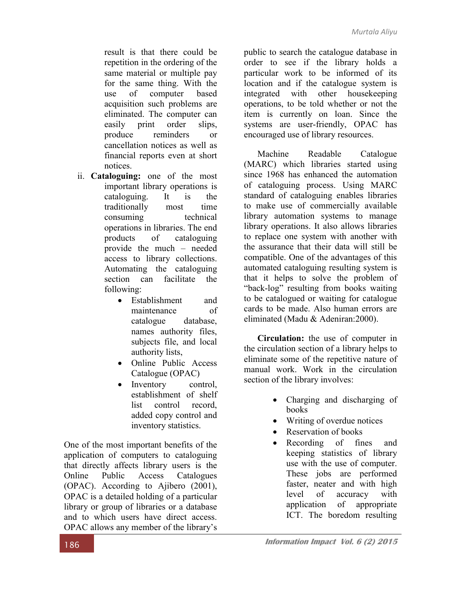result is that there could be repetition in the ordering of the same material or multiple pay for the same thing. With the use of computer based acquisition such problems are eliminated. The computer can easily print order slips, produce reminders or cancellation notices as well as financial reports even at short notices.

- ii. Cataloguing: one of the most important library operations is cataloguing. It is the traditionally most time consuming technical operations in libraries. The end products of cataloguing provide the much – needed access to library collections. Automating the cataloguing section can facilitate the following:
	- Establishment and maintenance of catalogue database, names authority files, subjects file, and local authority lists,
	- Online Public Access Catalogue (OPAC)
	- Inventory control, establishment of shelf list control record added copy control and inventory statistics.

One of the most important benefits of the application of computers to cataloguing that directly affects library users is the Online Public Access Catalogues (OPAC). According to Ajibero (2001), OPAC is a detailed holding of a particular library or group of libraries or a database and to which users have direct access. OPAC allows any member of the library's

public to search the catalogue database in order to see if the library holds a particular work to be informed of its location and if the catalogue system is integrated with other housekeeping operations, to be told whether or not the item is currently on loan. Since the systems are user-friendly, OPAC has encouraged use of library resources.

Machine Readable Catalogue (MARC) which libraries started using since 1968 has enhanced the automation of cataloguing process. Using MARC standard of cataloguing enables libraries to make use of commercially available library automation systems to manage library operations. It also allows libraries to replace one system with another with the assurance that their data will still be compatible. One of the advantages of this automated cataloguing resulting system is that it helps to solve the problem of "back-log" resulting from books waiting to be catalogued or waiting for catalogue cards to be made. Also human errors are eliminated (Madu & Adeniran:2000).

Circulation: the use of computer in the circulation section of a library helps to eliminate some of the repetitive nature of manual work. Work in the circulation section of the library involves:

- Charging and discharging of books
- Writing of overdue notices
- Reservation of books
- Recording of fines and keeping statistics of library use with the use of computer. These jobs are performed faster, neater and with high level of accuracy with application of appropriate ICT. The boredom resulting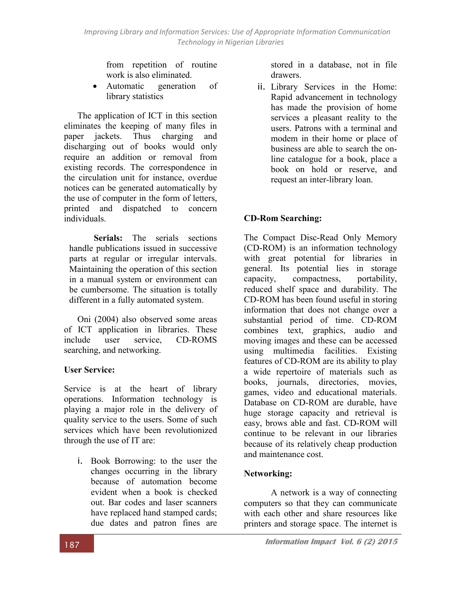from repetition of routine work is also eliminated.

 Automatic generation of library statistics

The application of ICT in this section eliminates the keeping of many files in paper jackets. Thus charging and discharging out of books would only require an addition or removal from existing records. The correspondence in the circulation unit for instance, overdue notices can be generated automatically by the use of computer in the form of letters, printed and dispatched to concern individuals.

Serials: The serials sections handle publications issued in successive parts at regular or irregular intervals. Maintaining the operation of this section in a manual system or environment can be cumbersome. The situation is totally different in a fully automated system.

Oni (2004) also observed some areas of ICT application in libraries. These include user service, CD-ROMS searching, and networking.

## User Service:

Service is at the heart of library operations. Information technology is playing a major role in the delivery of quality service to the users. Some of such services which have been revolutionized through the use of IT are:

i. Book Borrowing: to the user the changes occurring in the library because of automation become evident when a book is checked out. Bar codes and laser scanners have replaced hand stamped cards; due dates and patron fines are

stored in a database, not in file drawers.

ii. Library Services in the Home: Rapid advancement in technology has made the provision of home services a pleasant reality to the users. Patrons with a terminal and modem in their home or place of business are able to search the online catalogue for a book, place a book on hold or reserve, and request an inter-library loan.

# CD-Rom Searching:

The Compact Disc-Read Only Memory (CD-ROM) is an information technology with great potential for libraries in general. Its potential lies in storage capacity, compactness, portability, reduced shelf space and durability. The CD-ROM has been found useful in storing information that does not change over a substantial period of time. CD-ROM combines text, graphics, audio and moving images and these can be accessed using multimedia facilities. Existing features of CD-ROM are its ability to play a wide repertoire of materials such as books, journals, directories, movies, games, video and educational materials. Database on CD-ROM are durable, have huge storage capacity and retrieval is easy, brows able and fast. CD-ROM will continue to be relevant in our libraries because of its relatively cheap production and maintenance cost.

## Networking:

A network is a way of connecting computers so that they can communicate with each other and share resources like printers and storage space. The internet is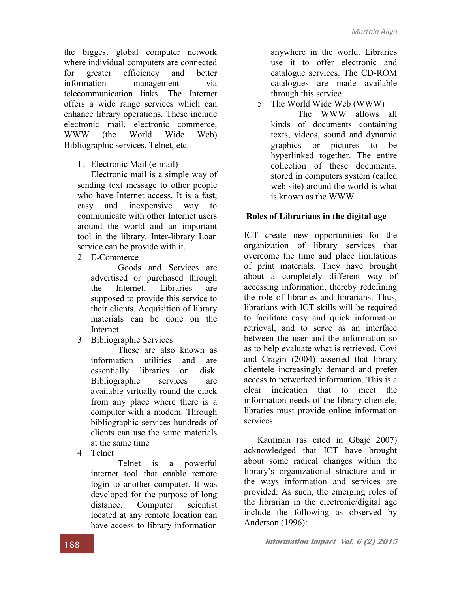the biggest global computer network where individual computers are connected for greater efficiency and better information management via telecommunication links. The Internet offers a wide range services which can enhance library operations. These include electronic mail, electronic commerce, WWW (the World Wide Web) Bibliographic services, Telnet, etc.

1. Electronic Mail (e-mail)

Electronic mail is a simple way of sending text message to other people who have Internet access. It is a fast, easy and inexpensive way to communicate with other Internet users around the world and an important tool in the library. Inter-library Loan service can be provide with it.

2 E-Commerce

Goods and Services are advertised or purchased through the Internet. Libraries are supposed to provide this service to their clients. Acquisition of library materials can be done on the Internet.

3 Bibliographic Services

These are also known as information utilities and are essentially libraries on disk. Bibliographic services are available virtually round the clock from any place where there is a computer with a modem. Through bibliographic services hundreds of clients can use the same materials at the same time

4 Telnet

Telnet is a powerful internet tool that enable remote login to another computer. It was developed for the purpose of long distance. Computer scientist located at any remote location can have access to library information

anywhere in the world. Libraries use it to offer electronic and catalogue services. The CD-ROM catalogues are made available through this service.

5 The World Wide Web (WWW)

The WWW allows all kinds of documents containing texts, videos, sound and dynamic graphics or pictures to be hyperlinked together. The entire collection of these documents, stored in computers system (called web site) around the world is what is known as the WWW

## Roles of Librarians in the digital age

ICT create new opportunities for the organization of library services that overcome the time and place limitations of print materials. They have brought about a completely different way of accessing information, thereby redefining the role of libraries and librarians. Thus, librarians with ICT skills will be required to facilitate easy and quick information retrieval, and to serve as an interface between the user and the information so as to help evaluate what is retrieved. Covi and Cragin (2004) asserted that library clientele increasingly demand and prefer access to networked information. This is a clear indication that to meet the information needs of the library clientele, libraries must provide online information services.

Kaufman (as cited in Gbaje 2007) acknowledged that ICT have brought about some radical changes within the library's organizational structure and in the ways information and services are provided. As such, the emerging roles of the librarian in the electronic/digital age include the following as observed by Anderson (1996):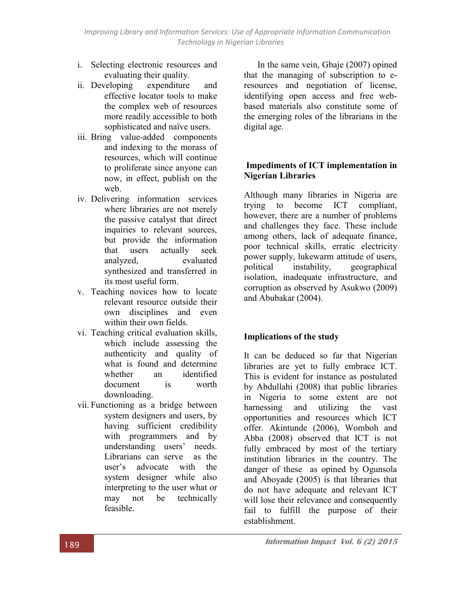*Improving Library and Information Services: Use of Appropriate Information Communication Technology in Nigerian Libraries*

- i. Selecting electronic resources and evaluating their quality.
- ii. Developing expenditure and effective locator tools to make the complex web of resources more readily accessible to both sophisticated and naïve users.
- iii. Bring value-added components and indexing to the morass of resources, which will continue to proliferate since anyone can now, in effect, publish on the web.
- iv. Delivering information services where libraries are not merely the passive catalyst that direct inquiries to relevant sources, but provide the information that users actually seek analyzed, evaluated synthesized and transferred in its most useful form.
- v. Teaching novices how to locate relevant resource outside their own disciplines and even within their own fields.
- vi. Teaching critical evaluation skills, which include assessing the authenticity and quality of what is found and determine whether an identified document is worth downloading.
- vii. Functioning as a bridge between system designers and users, by having sufficient credibility with programmers and by understanding users' needs. Librarians can serve as the user's advocate with the system designer while also interpreting to the user what or may not be technically feasible.

In the same vein, Gbaje (2007) opined that the managing of subscription to eresources and negotiation of license, identifying open access and free webbased materials also constitute some of the emerging roles of the librarians in the digital age.

#### Impediments of ICT implementation in Nigerian Libraries

Although many libraries in Nigeria are trying to become ICT compliant, however, there are a number of problems and challenges they face. These include among others, lack of adequate finance, poor technical skills, erratic electricity power supply, lukewarm attitude of users, political instability, geographical isolation, inadequate infrastructure, and corruption as observed by Asukwo (2009) and Abubakar (2004).

## Implications of the study

It can be deduced so far that Nigerian libraries are yet to fully embrace ICT. This is evident for instance as postulated by Abdullahi (2008) that public libraries in Nigeria to some extent are not harnessing and utilizing the vast opportunities and resources which ICT offer. Akintunde (2006), Womboh and Abba (2008) observed that ICT is not fully embraced by most of the tertiary institution libraries in the country. The danger of these as opined by Ogunsola and Aboyade (2005) is that libraries that do not have adequate and relevant ICT will lose their relevance and consequently fail to fulfill the purpose of their establishment.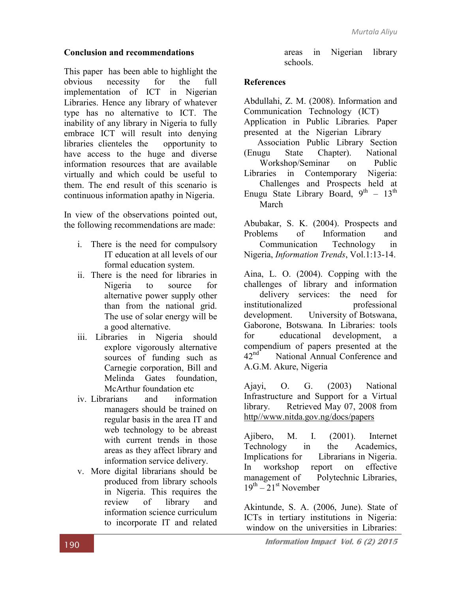#### Conclusion and recommendations

This paper has been able to highlight the obvious necessity for the full implementation of ICT in Nigerian Libraries. Hence any library of whatever type has no alternative to ICT. The inability of any library in Nigeria to fully embrace ICT will result into denying libraries clienteles the opportunity to have access to the huge and diverse information resources that are available virtually and which could be useful to them. The end result of this scenario is continuous information apathy in Nigeria.

In view of the observations pointed out, the following recommendations are made:

- i. There is the need for compulsory IT education at all levels of our formal education system.
- ii. There is the need for libraries in Nigeria to source for alternative power supply other than from the national grid. The use of solar energy will be a good alternative.
- iii. Libraries in Nigeria should explore vigorously alternative sources of funding such as Carnegie corporation, Bill and Melinda Gates foundation, McArthur foundation etc
- iv. Librarians and information managers should be trained on regular basis in the area IT and web technology to be abreast with current trends in those areas as they affect library and information service delivery.
- v. More digital librarians should be produced from library schools in Nigeria. This requires the review of library and information science curriculum to incorporate IT and related

areas in Nigerian library schools.

#### **References**

Abdullahi, Z. M. (2008). Information and Communication Technology (ICT) Application in Public Libraries*.* Paper presented at the Nigerian Library Association Public Library Section

(Enugu State Chapter). National Workshop/Seminar on Public Libraries in Contemporary Nigeria: Challenges and Prospects held at Enugu State Library Board,  $9^{th}$  -  $13^{th}$ March

Abubakar, S. K. (2004). Prospects and Problems of Information and Communication Technology in Nigeria, *Information Trends*, Vol.1:13-14.

Aina, L. O. (2004). Copping with the challenges of library and information delivery services: the need for institutionalized professional development. University of Botswana, Gaborone, Botswana*.* In Libraries: tools for educational development, a compendium of papers presented at the<br>42<sup>nd</sup> National Annual Conference and National Annual Conference and A.G.M. Akure, Nigeria

Ajayi, O. G. (2003) National Infrastructure and Support for a Virtual library. Retrieved May 07, 2008 from http//www.nitda.gov.ng/docs/papers

Ajibero, M. I. (2001). Internet Technology in the Academics, Implications for Librarians in Nigeria. In workshop report on effective management of Polytechnic Libraries,  $19^{th} - 21^{st}$  November

Akintunde, S. A. (2006, June). State of ICTs in tertiary institutions in Nigeria: window on the universities in Libraries: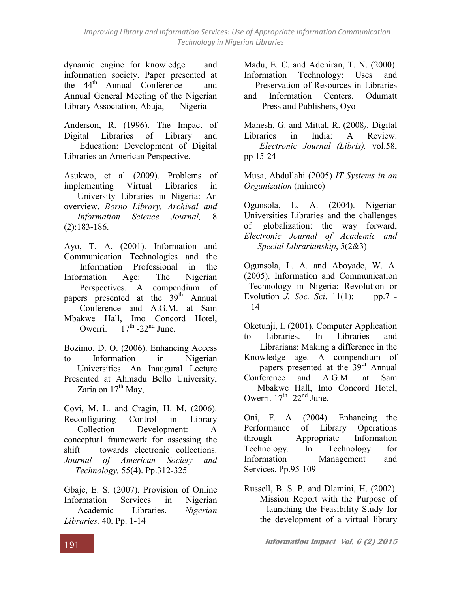dynamic engine for knowledge and information society. Paper presented at the 44<sup>th</sup> Annual Conference and Annual General Meeting of the Nigerian Library Association, Abuja, Nigeria

Anderson, R. (1996). The Impact of Digital Libraries of Library and Education: Development of Digital Libraries an American Perspective.

Asukwo, et al (2009). Problems of implementing Virtual Libraries in University Libraries in Nigeria: An overview, *Borno Library, Archival and Information Science Journal,* 8 (2):183-186.

Ayo, T. A. (2001). Information and Communication Technologies and the Information Professional in the Information Age: The Nigerian Perspectives. A compendium of papers presented at the 39<sup>th</sup> Annual Conference and A.G.M. at Sam Mbakwe Hall, Imo Concord Hotel, Owerri.  $17<sup>th</sup> -22<sup>nd</sup> June.$ 

Bozimo, D. O. (2006). Enhancing Access to Information in Nigerian Universities. An Inaugural Lecture Presented at Ahmadu Bello University, Zaria on  $17<sup>th</sup>$  May,

Covi, M. L. and Cragin, H. M. (2006). Reconfiguring Control in Library Collection Development: A conceptual framework for assessing the shift towards electronic collections. *Journal of American Society and Technology,* 55(4). Pp.312-325

Gbaje, E. S. (2007). Provision of Online Information Services in Nigerian Academic Libraries. *Nigerian Libraries.* 40. Pp. 1-14

Madu, E. C. and Adeniran, T. N. (2000). Information Technology: Uses and Preservation of Resources in Libraries

and Information Centers. Odumatt Press and Publishers, Oyo

Mahesh, G. and Mittal, R. (2008*).* Digital Libraries in India: A Review. *Electronic Journal (Libris).* vol.58, pp 15-24

Musa, Abdullahi (2005) *IT Systems in an Organization* (mimeo)

Ogunsola, L. A. (2004). Nigerian Universities Libraries and the challenges of globalization: the way forward, *Electronic Journal of Academic and Special Librarianship*, 5(2&3)

Ogunsola, L. A. and Aboyade, W. A. (2005). Information and Communication Technology in Nigeria: Revolution or Evolution *J. Soc. Sci*. 11(1): pp.7 - 14

Oketunji, I. (2001). Computer Application to Libraries. In Libraries and Librarians: Making a difference in the Knowledge age. A compendium of papers presented at the 39<sup>th</sup> Annual Conference and A.G.M. at Sam Mbakwe Hall, Imo Concord Hotel, Owerri.  $17<sup>th</sup>$  -22<sup>nd</sup> June.

Oni, F. A. (2004). Enhancing the Performance of Library Operations through Appropriate Information Technology*.* In Technology for Information Management and Services. Pp.95-109

Russell, B. S. P. and Dlamini, H. (2002). Mission Report with the Purpose of launching the Feasibility Study for the development of a virtual library